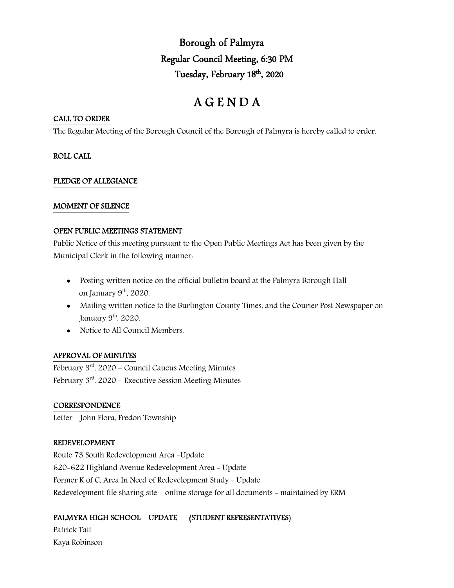Borough of Palmyra Regular Council Meeting, 6:30 PM Tuesday, February 18<sup>th</sup>, 2020

# A G E N D A

#### CALL TO ORDER

The Regular Meeting of the Borough Council of the Borough of Palmyra is hereby called to order.

#### ROLL CALL

#### PLEDGE OF ALLEGIANCE

#### MOMENT OF SILENCE

#### OPEN PUBLIC MEETINGS STATEMENT

Public Notice of this meeting pursuant to the Open Public Meetings Act has been given by the Municipal Clerk in the following manner:

- Posting written notice on the official bulletin board at the Palmyra Borough Hall on January 9<sup>th</sup>, 2020.
- Mailing written notice to the Burlington County Times, and the Courier Post Newspaper on January  $9<sup>th</sup>$ , 2020.
- Notice to All Council Members.

#### APPROVAL OF MINUTES

February  $3<sup>rd</sup>$ , 2020 – Council Caucus Meeting Minutes February  $3<sup>rd</sup>$ , 2020 – Executive Session Meeting Minutes

#### **CORRESPONDENCE**

Letter – John Flora, Fredon Township

#### REDEVELOPMENT

Route 73 South Redevelopment Area -Update 620-622 Highland Avenue Redevelopment Area - Update Former K of C, Area In Need of Redevelopment Study - Update Redevelopment file sharing site – online storage for all documents - maintained by ERM

## PALMYRA HIGH SCHOOL – UPDATE (STUDENT REPRESENTATIVES)

Patrick Tait Kaya Robinson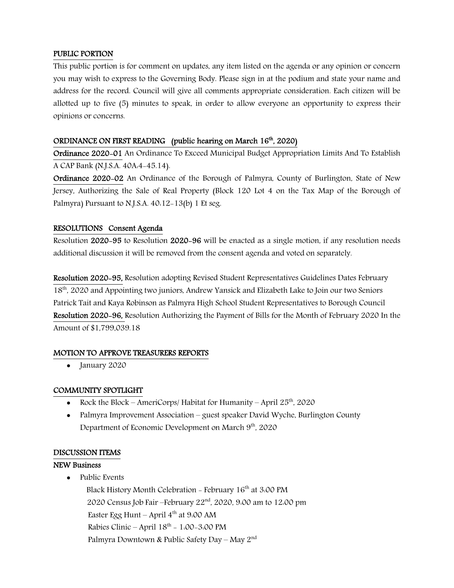#### PUBLIC PORTION

This public portion is for comment on updates, any item listed on the agenda or any opinion or concern you may wish to express to the Governing Body. Please sign in at the podium and state your name and address for the record. Council will give all comments appropriate consideration. Each citizen will be allotted up to five (5) minutes to speak, in order to allow everyone an opportunity to express their opinions or concerns.

#### ORDINANCE ON FIRST READING (public hearing on March 16<sup>th</sup>, 2020)

Ordinance 2020-01 An Ordinance To Exceed Municipal Budget Appropriation Limits And To Establish A CAP Bank (N.J.S.A. 40A:4-45.14).

Ordinance 2020-02 An Ordinance of the Borough of Palmyra, County of Burlington, State of New Jersey, Authorizing the Sale of Real Property (Block 120 Lot 4 on the Tax Map of the Borough of Palmyra) Pursuant to N.J.S.A. 40:12-13(b) 1 Et seg.

#### RESOLUTIONS Consent Agenda

Resolution 2020-95 to Resolution 2020-96 will be enacted as a single motion, if any resolution needs additional discussion it will be removed from the consent agenda and voted on separately.

Resolution 2020-95, Resolution adopting Revised Student Representatives Guidelines Dates February 18<sup>th</sup>, 2020 and Appointing two juniors, Andrew Yansick and Elizabeth Lake to Join our two Seniors Patrick Tait and Kaya Robinson as Palmyra High School Student Representatives to Borough Council Resolution 2020-96, Resolution Authorizing the Payment of Bills for the Month of February 2020 In the Amount of \$1,799,039.18

#### MOTION TO APPROVE TREASURERS REPORTS

• January 2020

#### COMMUNITY SPOTLIGHT

- Rock the Block AmeriCorps/ Habitat for Humanity April  $25<sup>th</sup>$ , 2020
- Palmyra Improvement Association guest speaker David Wyche, Burlington County Department of Economic Development on March 9<sup>th</sup>, 2020

#### DISCUSSION ITEMS

#### NEW Business

• Public Events

Black History Month Celebration - February 16<sup>th</sup> at 3:00 PM 2020 Census Job Fair –February 22<sup>nd</sup>, 2020, 9:00 am to 12:00 pm Easter Egg Hunt – April  $4^{th}$  at 9:00 AM Rabies Clinic – April  $18^{th}$  – 1:00–3:00 PM Palmyra Downtown & Public Safety Day – May 2<sup>nd</sup>